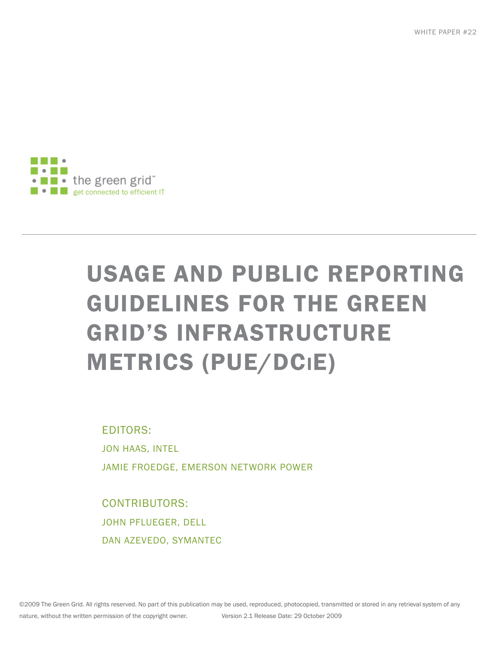WHITE PAPER #22



# USAGE AND PUBLIC REPORTING GUIDELINES FOR THE GREEN GRID'S INFRASTRUCTURE METRICS (PUE/DCIE)

EDITORS: JON HAAS, INTEL JAMIE FROEDGE, EMERSON NETWORK POWER

CONTRIBUTORS: JOHN PFLUEGER, DELL DAN AZEVEDO, SYMANTEC

©2009 The Green Grid. All rights reserved. No part of this publication may be used, reproduced, photocopied, transmitted or stored in any retrieval system of any nature, without the written permission of the copyright owner. Version 2.1 Release Date: 29 October 2009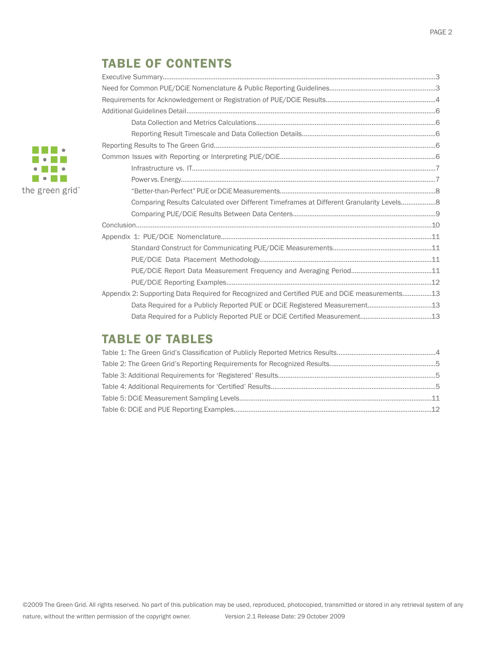# TABLE OF CONTENTS

| Comparing Results Calculated over Different Timeframes at Different Granularity Levels 8      |  |
|-----------------------------------------------------------------------------------------------|--|
|                                                                                               |  |
|                                                                                               |  |
|                                                                                               |  |
|                                                                                               |  |
|                                                                                               |  |
|                                                                                               |  |
|                                                                                               |  |
| Appendix 2: Supporting Data Required for Recognized and Certified PUE and DCiE measurements13 |  |
| Data Required for a Publicly Reported PUE or DCiE Registered Measurement13                    |  |
|                                                                                               |  |
|                                                                                               |  |

# TABLE OF TABLES

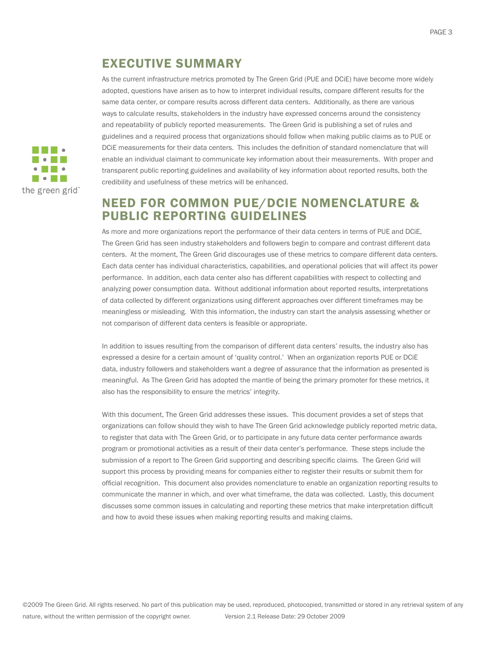# EXECUTIVE SUMMARY

As the current infrastructure metrics promoted by The Green Grid (PUE and DCiE) have become more widely adopted, questions have arisen as to how to interpret individual results, compare different results for the same data center, or compare results across different data centers. Additionally, as there are various ways to calculate results, stakeholders in the industry have expressed concerns around the consistency and repeatability of publicly reported measurements. The Green Grid is publishing a set of rules and guidelines and a required process that organizations should follow when making public claims as to PUE or DCiE measurements for their data centers. This includes the definition of standard nomenclature that will enable an individual claimant to communicate key information about their measurements. With proper and transparent public reporting guidelines and availability of key information about reported results, both the credibility and usefulness of these metrics will be enhanced.

## NEED FOR COMMON PUE/DCIE NOMENCLATURE & PUBLIC REPORTING GUIDELINES

As more and more organizations report the performance of their data centers in terms of PUE and DCiE, The Green Grid has seen industry stakeholders and followers begin to compare and contrast different data centers. At the moment, The Green Grid discourages use of these metrics to compare different data centers. Each data center has individual characteristics, capabilities, and operational policies that will affect its power performance. In addition, each data center also has different capabilities with respect to collecting and analyzing power consumption data. Without additional information about reported results, interpretations of data collected by different organizations using different approaches over different timeframes may be meaningless or misleading. With this information, the industry can start the analysis assessing whether or not comparison of different data centers is feasible or appropriate.

In addition to issues resulting from the comparison of different data centers' results, the industry also has expressed a desire for a certain amount of 'quality control.' When an organization reports PUE or DCiE data, industry followers and stakeholders want a degree of assurance that the information as presented is meaningful. As The Green Grid has adopted the mantle of being the primary promoter for these metrics, it also has the responsibility to ensure the metrics' integrity.

With this document, The Green Grid addresses these issues. This document provides a set of steps that organizations can follow should they wish to have The Green Grid acknowledge publicly reported metric data, to register that data with The Green Grid, or to participate in any future data center performance awards program or promotional activities as a result of their data center's performance. These steps include the submission of a report to The Green Grid supporting and describing specific claims. The Green Grid will support this process by providing means for companies either to register their results or submit them for official recognition. This document also provides nomenclature to enable an organization reporting results to communicate the manner in which, and over what timeframe, the data was collected. Lastly, this document discusses some common issues in calculating and reporting these metrics that make interpretation difficult and how to avoid these issues when making reporting results and making claims.

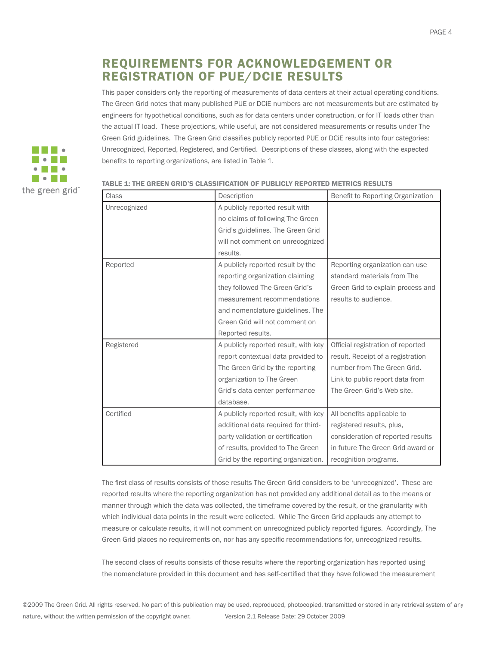# REQUIREMENTS FOR ACKNOWLEDGEMENT OR REGISTRATION OF PUE/DCIE RESULTS

This paper considers only the reporting of measurements of data centers at their actual operating conditions. The Green Grid notes that many published PUE or DCiE numbers are not measurements but are estimated by engineers for hypothetical conditions, such as for data centers under construction, or for IT loads other than the actual IT load. These projections, while useful, are not considered measurements or results under The Green Grid guidelines. The Green Grid classifies publicly reported PUE or DCiE results into four categories: Unrecognized, Reported, Registered, and Certified. Descriptions of these classes, along with the expected benefits to reporting organizations, are listed in Table 1.



| Class        | Description                          | Benefit to Reporting Organization |
|--------------|--------------------------------------|-----------------------------------|
| Unrecognized | A publicly reported result with      |                                   |
|              | no claims of following The Green     |                                   |
|              | Grid's guidelines. The Green Grid    |                                   |
|              | will not comment on unrecognized     |                                   |
|              | results.                             |                                   |
| Reported     | A publicly reported result by the    | Reporting organization can use    |
|              | reporting organization claiming      | standard materials from The       |
|              | they followed The Green Grid's       | Green Grid to explain process and |
|              | measurement recommendations          | results to audience.              |
|              | and nomenclature guidelines. The     |                                   |
|              | Green Grid will not comment on       |                                   |
|              | Reported results.                    |                                   |
| Registered   | A publicly reported result, with key | Official registration of reported |
|              | report contextual data provided to   | result. Receipt of a registration |
|              | The Green Grid by the reporting      | number from The Green Grid.       |
|              | organization to The Green            | Link to public report data from   |
|              | Grid's data center performance       | The Green Grid's Web site.        |
|              | database.                            |                                   |
| Certified    | A publicly reported result, with key | All benefits applicable to        |
|              | additional data required for third-  | registered results, plus,         |
|              | party validation or certification    | consideration of reported results |
|              | of results, provided to The Green    | in future The Green Grid award or |
|              | Grid by the reporting organization.  | recognition programs.             |

#### TABLE 1: THE GREEN GRID'S CLASSIFICATION OF PUBLICLY REPORTED METRICS RESULTS

The first class of results consists of those results The Green Grid considers to be 'unrecognized'. These are reported results where the reporting organization has not provided any additional detail as to the means or manner through which the data was collected, the timeframe covered by the result, or the granularity with which individual data points in the result were collected. While The Green Grid applauds any attempt to measure or calculate results, it will not comment on unrecognized publicly reported figures. Accordingly, The Green Grid places no requirements on, nor has any specific recommendations for, unrecognized results.

The second class of results consists of those results where the reporting organization has reported using the nomenclature provided in this document and has self-certified that they have followed the measurement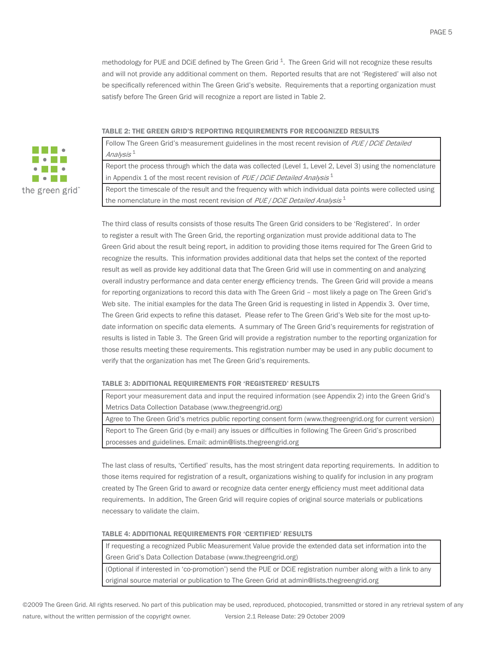methodology for PUE and DCiE defined by The Green Grid  $^1$ . The Green Grid will not recognize these results and will not provide any additional comment on them. Reported results that are not 'Registered' will also not be specifically referenced within The Green Grid's website. Requirements that a reporting organization must satisfy before The Green Grid will recognize a report are listed in Table 2.

#### TABLE 2: THE GREEN GRID'S REPORTING REQUIREMENTS FOR RECOGNIZED RESULTS



Follow The Green Grid's measurement guidelines in the most recent revision of PUE / DCiE Detailed Analysis <sup>1</sup>

Report the process through which the data was collected (Level 1, Level 2, Level 3) using the nomenclature in Appendix 1 of the most recent revision of  $PUE/DCiE$  Detailed Analysis  $1$ 

Report the timescale of the result and the frequency with which individual data points were collected using the nomenclature in the most recent revision of  $PUE/DCiE$  Detailed Analysis<sup>1</sup>

The third class of results consists of those results The Green Grid considers to be 'Registered'. In order to register a result with The Green Grid, the reporting organization must provide additional data to The Green Grid about the result being report, in addition to providing those items required for The Green Grid to recognize the results. This information provides additional data that helps set the context of the reported result as well as provide key additional data that The Green Grid will use in commenting on and analyzing overall industry performance and data center energy efficiency trends. The Green Grid will provide a means for reporting organizations to record this data with The Green Grid – most likely a page on The Green Grid's Web site. The initial examples for the data The Green Grid is requesting in listed in Appendix 3. Over time, The Green Grid expects to refine this dataset. Please refer to The Green Grid's Web site for the most up-todate information on specific data elements. A summary of The Green Grid's requirements for registration of results is listed in Table 3. The Green Grid will provide a registration number to the reporting organization for those results meeting these requirements. This registration number may be used in any public document to verify that the organization has met The Green Grid's requirements.

#### TABLE 3: ADDITIONAL REQUIREMENTS FOR 'REGISTERED' RESULTS

Report your measurement data and input the required information (see Appendix 2) into the Green Grid's Metrics Data Collection Database (www.thegreengrid.org)

Agree to The Green Grid's metrics public reporting consent form (www.thegreengrid.org for current version) Report to The Green Grid (by e-mail) any issues or difficulties in following The Green Grid's proscribed processes and guidelines. Email: admin@lists.thegreengrid.org

The last class of results, 'Certified' results, has the most stringent data reporting requirements. In addition to those items required for registration of a result, organizations wishing to qualify for inclusion in any program created by The Green Grid to award or recognize data center energy efficiency must meet additional data requirements. In addition, The Green Grid will require copies of original source materials or publications necessary to validate the claim.

#### TABLE 4: ADDITIONAL REQUIREMENTS FOR 'CERTIFIED' RESULTS

If requesting a recognized Public Measurement Value provide the extended data set information into the Green Grid's Data Collection Database (www.thegreengrid.org)

(Optional if interested in 'co-promotion') send the PUE or DCiE registration number along with a link to any original source material or publication to The Green Grid at admin@lists.thegreengrid.org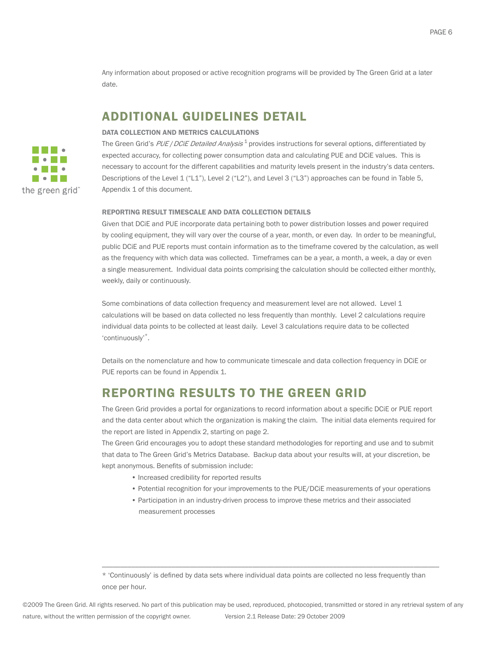Any information about proposed or active recognition programs will be provided by The Green Grid at a later date.

## ADDITIONAL GUIDELINES DETAIL

#### DATA COLLECTION AND METRICS CALCULATIONS

The Green Grid's PUE / DCIE Detailed Analysis<sup>1</sup> provides instructions for several options, differentiated by expected accuracy, for collecting power consumption data and calculating PUE and DCiE values. This is necessary to account for the different capabilities and maturity levels present in the industry's data centers. Descriptions of the Level 1 ("L1"), Level 2 ("L2"), and Level 3 ("L3") approaches can be found in Table 5, Appendix 1 of this document.

#### REPORTING RESULT TIMESCALE AND DATA COLLECTION DETAILS

Given that DCiE and PUE incorporate data pertaining both to power distribution losses and power required by cooling equipment, they will vary over the course of a year, month, or even day. In order to be meaningful, public DCiE and PUE reports must contain information as to the timeframe covered by the calculation, as well as the frequency with which data was collected. Timeframes can be a year, a month, a week, a day or even a single measurement. Individual data points comprising the calculation should be collected either monthly, weekly, daily or continuously.

Some combinations of data collection frequency and measurement level are not allowed. Level 1 calculations will be based on data collected no less frequently than monthly. Level 2 calculations require individual data points to be collected at least daily. Level 3 calculations require data to be collected 'continuously'\*.

Details on the nomenclature and how to communicate timescale and data collection frequency in DCiE or PUE reports can be found in Appendix 1.

### REPORTING RESULTS TO THE GREEN GRID

The Green Grid provides a portal for organizations to record information about a specific DCiE or PUE report and the data center about which the organization is making the claim. The initial data elements required for the report are listed in Appendix 2, starting on page 2.

The Green Grid encourages you to adopt these standard methodologies for reporting and use and to submit that data to The Green Grid's Metrics Database. Backup data about your results will, at your discretion, be kept anonymous. Benefits of submission include:

- Increased credibility for reported results
- Potential recognition for your improvements to the PUE/DCiE measurements of your operations
- Participation in an industry-driven process to improve these metrics and their associated measurement processes

\_\_\_\_\_\_\_\_\_\_\_\_\_\_\_\_\_\_\_\_\_\_\_\_\_\_\_\_\_\_\_\_\_\_\_\_\_\_\_\_\_\_\_\_\_\_\_\_\_\_\_\_\_\_\_\_\_\_\_\_\_\_\_\_\_\_\_\_\_\_\_\_\_\_\_\_\_\_\_\_\_\_\_\_\_\_\_\_\_\_\_\_



<sup>\* &#</sup>x27;Continuously' is defined by data sets where individual data points are collected no less frequently than once per hour.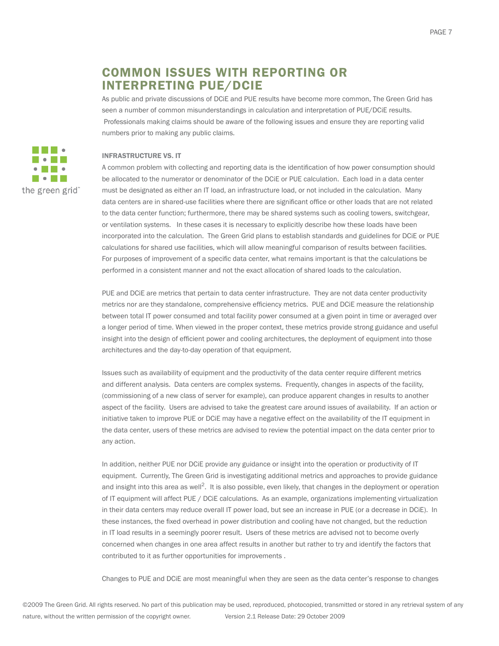# COMMON ISSUES WITH REPORTING OR INTERPRETING PUE/DCIE

As public and private discussions of DCiE and PUE results have become more common, The Green Grid has seen a number of common misunderstandings in calculation and interpretation of PUE/DCiE results. Professionals making claims should be aware of the following issues and ensure they are reporting valid numbers prior to making any public claims.

#### INFRASTRUCTURE VS. IT

A common problem with collecting and reporting data is the identification of how power consumption should be allocated to the numerator or denominator of the DCiE or PUE calculation. Each load in a data center must be designated as either an IT load, an infrastructure load, or not included in the calculation. Many data centers are in shared-use facilities where there are significant office or other loads that are not related to the data center function; furthermore, there may be shared systems such as cooling towers, switchgear, or ventilation systems. In these cases it is necessary to explicitly describe how these loads have been incorporated into the calculation. The Green Grid plans to establish standards and guidelines for DCiE or PUE calculations for shared use facilities, which will allow meaningful comparison of results between facilities. For purposes of improvement of a specific data center, what remains important is that the calculations be performed in a consistent manner and not the exact allocation of shared loads to the calculation.

PUE and DCiE are metrics that pertain to data center infrastructure. They are not data center productivity metrics nor are they standalone, comprehensive efficiency metrics. PUE and DCiE measure the relationship between total IT power consumed and total facility power consumed at a given point in time or averaged over a longer period of time. When viewed in the proper context, these metrics provide strong guidance and useful insight into the design of efficient power and cooling architectures, the deployment of equipment into those architectures and the day-to-day operation of that equipment.

Issues such as availability of equipment and the productivity of the data center require different metrics and different analysis. Data centers are complex systems. Frequently, changes in aspects of the facility, (commissioning of a new class of server for example), can produce apparent changes in results to another aspect of the facility. Users are advised to take the greatest care around issues of availability. If an action or initiative taken to improve PUE or DCiE may have a negative effect on the availability of the IT equipment in the data center, users of these metrics are advised to review the potential impact on the data center prior to any action.

In addition, neither PUE nor DCiE provide any guidance or insight into the operation or productivity of IT equipment. Currently, The Green Grid is investigating additional metrics and approaches to provide guidance and insight into this area as well<sup>2</sup>. It is also possible, even likely, that changes in the deployment or operation of IT equipment will affect PUE / DCiE calculations. As an example, organizations implementing virtualization in their data centers may reduce overall IT power load, but see an increase in PUE (or a decrease in DCiE). In these instances, the fixed overhead in power distribution and cooling have not changed, but the reduction in IT load results in a seemingly poorer result. Users of these metrics are advised not to become overly concerned when changes in one area affect results in another but rather to try and identify the factors that contributed to it as further opportunities for improvements .

Changes to PUE and DCiE are most meaningful when they are seen as the data center's response to changes

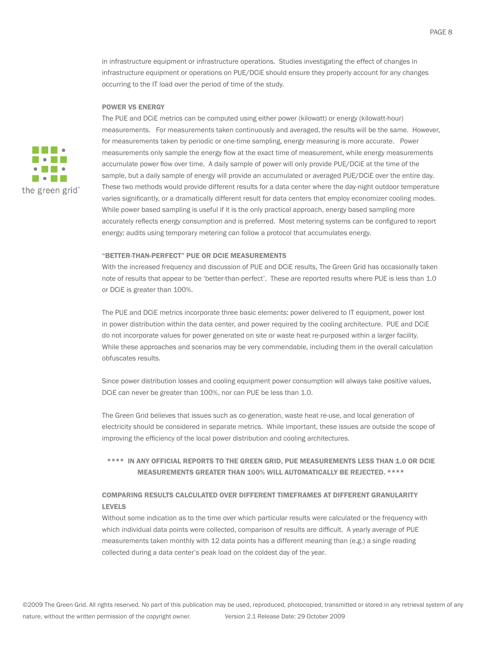in infrastructure equipment or infrastructure operations. Studies investigating the effect of changes in infrastructure equipment or operations on PUE/DCiE should ensure they properly account for any changes occurring to the IT load over the period of time of the study.

#### POWER VS ENERGY



The PUE and DCiE metrics can be computed using either power (kilowatt) or energy (kilowatt-hour) measurements. For measurements taken continuously and averaged, the results will be the same. However, for measurements taken by periodic or one-time sampling, energy measuring is more accurate. Power measurements only sample the energy flow at the exact time of measurement, while energy measurements accumulate power flow over time. A daily sample of power will only provide PUE/DCiE at the time of the sample, but a daily sample of energy will provide an accumulated or averaged PUE/DCiE over the entire day. These two methods would provide different results for a data center where the day-night outdoor temperature varies significantly, or a dramatically different result for data centers that employ economizer cooling modes. While power based sampling is useful if it is the only practical approach, energy based sampling more accurately reflects energy consumption and is preferred. Most metering systems can be configured to report energy; audits using temporary metering can follow a protocol that accumulates energy.

#### "BETTER-THAN-PERFECT" PUE OR DCIE MEASUREMENTS

With the increased frequency and discussion of PUE and DCiE results, The Green Grid has occasionally taken note of results that appear to be 'better-than-perfect'. These are reported results where PUE is less than 1.0 or DCiE is greater than 100%.

The PUE and DCiE metrics incorporate three basic elements: power delivered to IT equipment, power lost in power distribution within the data center, and power required by the cooling architecture. PUE and DCiE do not incorporate values for power generated on site or waste heat re-purposed within a larger facility. While these approaches and scenarios may be very commendable, including them in the overall calculation obfuscates results.

Since power distribution losses and cooling equipment power consumption will always take positive values, DCiE can never be greater than 100%, nor can PUE be less than 1.0.

The Green Grid believes that issues such as co-generation, waste heat re-use, and local generation of electricity should be considered in separate metrics. While important, these issues are outside the scope of improving the efficiency of the local power distribution and cooling architectures.

#### \*\*\*\* IN ANY OFFICIAL REPORTS TO THE GREEN GRID, PUE MEASUREMENTS LESS THAN 1.0 OR DCIE MEASUREMENTS GREATER THAN 100% WILL AUTOMATICALLY BE REJECTED. \*\*\*\*

#### COMPARING RESULTS CALCULATED OVER DIFFERENT TIMEFRAMES AT DIFFERENT GRANULARITY LEVELS

Without some indication as to the time over which particular results were calculated or the frequency with which individual data points were collected, comparison of results are difficult. A yearly average of PUE measurements taken monthly with 12 data points has a different meaning than (e.g.) a single reading collected during a data center's peak load on the coldest day of the year.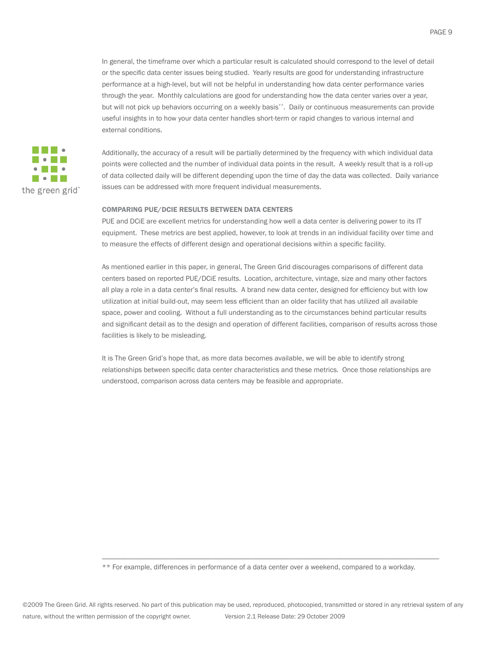In general, the timeframe over which a particular result is calculated should correspond to the level of detail or the specific data center issues being studied. Yearly results are good for understanding infrastructure performance at a high-level, but will not be helpful in understanding how data center performance varies through the year. Monthly calculations are good for understanding how the data center varies over a year, but will not pick up behaviors occurring on a weekly basis\*\*. Daily or continuous measurements can provide useful insights in to how your data center handles short-term or rapid changes to various internal and external conditions.



Additionally, the accuracy of a result will be partially determined by the frequency with which individual data points were collected and the number of individual data points in the result. A weekly result that is a roll-up of data collected daily will be different depending upon the time of day the data was collected. Daily variance issues can be addressed with more frequent individual measurements.

#### COMPARING PUE/DCIE RESULTS BETWEEN DATA CENTERS

PUE and DCiE are excellent metrics for understanding how well a data center is delivering power to its IT equipment. These metrics are best applied, however, to look at trends in an individual facility over time and to measure the effects of different design and operational decisions within a specific facility.

As mentioned earlier in this paper, in general, The Green Grid discourages comparisons of different data centers based on reported PUE/DCiE results. Location, architecture, vintage, size and many other factors all play a role in a data center's final results. A brand new data center, designed for efficiency but with low utilization at initial build-out, may seem less efficient than an older facility that has utilized all available space, power and cooling. Without a full understanding as to the circumstances behind particular results and significant detail as to the design and operation of different facilities, comparison of results across those facilities is likely to be misleading.

It is The Green Grid's hope that, as more data becomes available, we will be able to identify strong relationships between specific data center characteristics and these metrics. Once those relationships are understood, comparison across data centers may be feasible and appropriate.

\*\* For example, differences in performance of a data center over a weekend, compared to a workday.

\_\_\_\_\_\_\_\_\_\_\_\_\_\_\_\_\_\_\_\_\_\_\_\_\_\_\_\_\_\_\_\_\_\_\_\_\_\_\_\_\_\_\_\_\_\_\_\_\_\_\_\_\_\_\_\_\_\_\_\_\_\_\_\_\_\_\_\_\_\_\_\_\_\_\_\_\_\_\_\_\_\_\_\_\_\_\_\_\_\_\_\_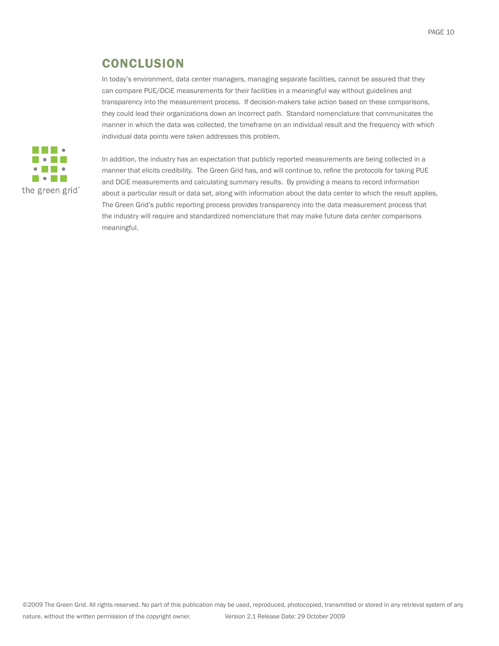# **CONCLUSION**

In today's environment, data center managers, managing separate facilities, cannot be assured that they can compare PUE/DCiE measurements for their facilities in a meaningful way without guidelines and transparency into the measurement process. If decision-makers take action based on these comparisons, they could lead their organizations down an incorrect path. Standard nomenclature that communicates the manner in which the data was collected, the timeframe on an individual result and the frequency with which individual data points were taken addresses this problem.



In addition, the industry has an expectation that publicly reported measurements are being collected in a manner that elicits credibility. The Green Grid has, and will continue to, refine the protocols for taking PUE and DCiE measurements and calculating summary results. By providing a means to record information about a particular result or data set, along with information about the data center to which the result applies, The Green Grid's public reporting process provides transparency into the data measurement process that the industry will require and standardized nomenclature that may make future data center comparisons meaningful.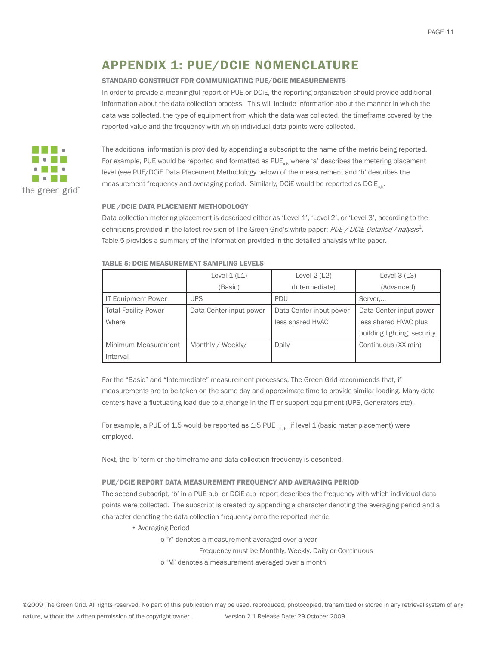# APPENDIX 1: PUE/DCIE NOMENCLATURE

#### STANDARD CONSTRUCT FOR COMMUNICATING PUE/DCIE MEASUREMENTS

In order to provide a meaningful report of PUE or DCiE, the reporting organization should provide additional information about the data collection process. This will include information about the manner in which the data was collected, the type of equipment from which the data was collected, the timeframe covered by the reported value and the frequency with which individual data points were collected.



The additional information is provided by appending a subscript to the name of the metric being reported. For example, PUE would be reported and formatted as  $PUE_{a,b}$  where 'a' describes the metering placement level (see PUE/DCiE Data Placement Methodology below) of the measurement and 'b' describes the measurement frequency and averaging period. Similarly, DCiE would be reported as DCiE<sub>ab</sub>.

#### PUE /DCIE DATA PLACEMENT METHODOLOGY

Data collection metering placement is described either as 'Level 1', 'Level 2', or 'Level 3', according to the definitions provided in the latest revision of The Green Grid's white paper: PUE / DCiE Detailed Analysis<sup>1</sup>. Table 5 provides a summary of the information provided in the detailed analysis white paper.

|                             | Level $1(L1)$           | Level $2(L2)$           | Level $3(L3)$               |
|-----------------------------|-------------------------|-------------------------|-----------------------------|
|                             | (Basic)                 | (Intermediate)          | (Advanced)                  |
| <b>IT Equipment Power</b>   | <b>UPS</b>              | PDU                     | Server,                     |
| <b>Total Facility Power</b> | Data Center input power | Data Center input power | Data Center input power     |
| Where                       |                         | less shared HVAC        | less shared HVAC plus       |
|                             |                         |                         | building lighting, security |
| Minimum Measurement         | Monthly / Weekly/       | Daily                   | Continuous (XX min)         |
| Interval                    |                         |                         |                             |

#### TABLE 5: DCIE MEASUREMENT SAMPLING LEVELS

For the "Basic" and "Intermediate" measurement processes, The Green Grid recommends that, if measurements are to be taken on the same day and approximate time to provide similar loading. Many data centers have a fluctuating load due to a change in the IT or support equipment (UPS, Generators etc).

For example, a PUE of 1.5 would be reported as 1.5 PUE  $_{11,b}$  if level 1 (basic meter placement) were employed.

Next, the 'b' term or the timeframe and data collection frequency is described.

#### PUE/DCIE REPORT DATA MEASUREMENT FREQUENCY AND AVERAGING PERIOD

The second subscript, 'b' in a PUE a,b or DCiE a,b report describes the frequency with which individual data points were collected. The subscript is created by appending a character denoting the averaging period and a character denoting the data collection frequency onto the reported metric

- Averaging Period
	- o 'Y' denotes a measurement averaged over a year
		- Frequency must be Monthly, Weekly, Daily or Continuous
	- o 'M' denotes a measurement averaged over a month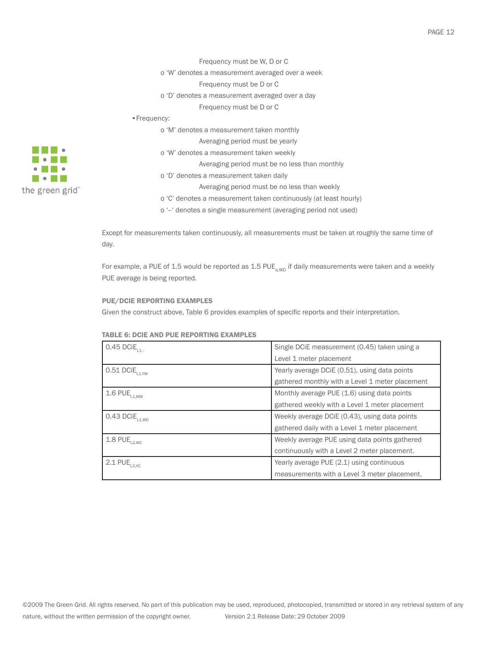- Frequency must be W, D or C
- o 'W' denotes a measurement averaged over a week
	- Frequency must be D or C
- o 'D' denotes a measurement averaged over a day

Frequency must be D or C

- •Frequency:
	- o 'M' denotes a measurement taken monthly
		- Averaging period must be yearly
		- o 'W' denotes a measurement taken weekly
			- Averaging period must be no less than monthly
		- o 'D' denotes a measurement taken daily
			- Averaging period must be no less than weekly
		- o 'C' denotes a measurement taken continuously (at least hourly)
		- o '--' denotes a single measurement (averaging period not used)

Except for measurements taken continuously, all measurements must be taken at roughly the same time of day.

For example, a PUE of 1.5 would be reported as 1.5 PUE<sub>a, WD</sub> if daily measurements were taken and a weekly PUE average is being reported.

#### PUE/DCIE REPORTING EXAMPLES

Given the construct above, Table 6 provides examples of specific reports and their interpretation.

| $0.45$ DCiE <sub>L1.-</sub> | Single DCiE measurement (0.45) taken using a    |
|-----------------------------|-------------------------------------------------|
|                             | Level 1 meter placement                         |
| $0.51$ DCi $E_{L1,YM}$      | Yearly average DCIE (0.51), using data points   |
|                             | gathered monthly with a Level 1 meter placement |
| 1.6 $PUE_{L1,MW}$           | Monthly average PUE (1.6) using data points     |
|                             | gathered weekly with a Level 1 meter placement  |
| $0.43$ DCi $E_{L1,WD}$      | Weekly average DCIE (0.43), using data points   |
|                             | gathered daily with a Level 1 meter placement   |
| $1.8$ PUE <sub>L2, WC</sub> | Weekly average PUE using data points gathered   |
|                             | continuously with a Level 2 meter placement.    |
| $2.1$ PUE <sub>L3, YC</sub> | Yearly average PUE (2.1) using continuous       |
|                             | measurements with a Level 3 meter placement.    |

#### TABLE 6: DCIE AND PUE REPORTING EXAMPLES

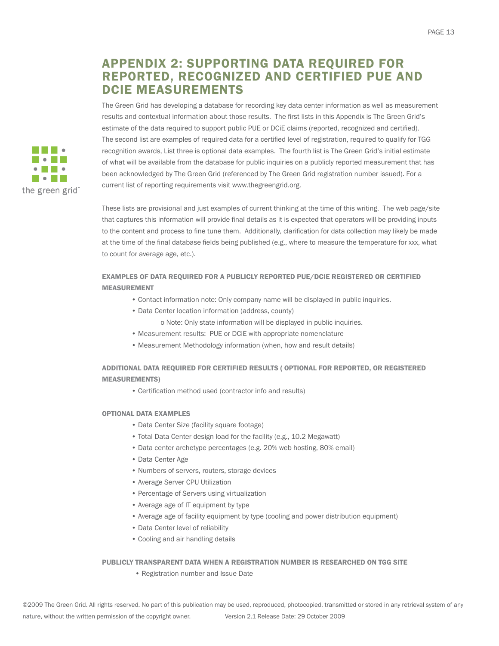# APPENDIX 2: SUPPORTING DATA REQUIRED FOR REPORTED, RECOGNIZED AND CERTIFIED PUE AND DCIE MEASUREMENTS

The Green Grid has developing a database for recording key data center information as well as measurement results and contextual information about those results. The first lists in this Appendix is The Green Grid's estimate of the data required to support public PUE or DCiE claims (reported, recognized and certified). The second list are examples of required data for a certified level of registration, required to qualify for TGG recognition awards, List three is optional data examples. The fourth list is The Green Grid's initial estimate of what will be available from the database for public inquiries on a publicly reported measurement that has been acknowledged by The Green Grid (referenced by The Green Grid registration number issued). For a current list of reporting requirements visit www.thegreengrid.org.

These lists are provisional and just examples of current thinking at the time of this writing. The web page/site that captures this information will provide final details as it is expected that operators will be providing inputs to the content and process to fine tune them. Additionally, clarification for data collection may likely be made at the time of the final database fields being published (e.g., where to measure the temperature for xxx, what to count for average age, etc.).

#### EXAMPLES OF DATA REQUIRED FOR A PUBLICLY REPORTED PUE/DCIE REGISTERED OR CERTIFIED MEASUREMENT

- Contact information note: Only company name will be displayed in public inquiries.
- Data Center location information (address, county)
	- o Note: Only state information will be displayed in public inquiries.
- Measurement results: PUE or DCiE with appropriate nomenclature
- Measurement Methodology information (when, how and result details)

#### ADDITIONAL DATA REQUIRED FOR CERTIFIED RESULTS ( OPTIONAL FOR REPORTED, OR REGISTERED MEASUREMENTS)

• Certification method used (contractor info and results)

#### OPTIONAL DATA EXAMPLES

- Data Center Size (facility square footage)
- Total Data Center design load for the facility (e.g., 10.2 Megawatt)
- Data center archetype percentages (e.g. 20% web hosting, 80% email)
- Data Center Age
- Numbers of servers, routers, storage devices
- Average Server CPU Utilization
- Percentage of Servers using virtualization
- Average age of IT equipment by type
- Average age of facility equipment by type (cooling and power distribution equipment)
- Data Center level of reliability
- Cooling and air handling details

#### PUBLICLY TRANSPARENT DATA WHEN A REGISTRATION NUMBER IS RESEARCHED ON TGG SITE

• Registration number and Issue Date

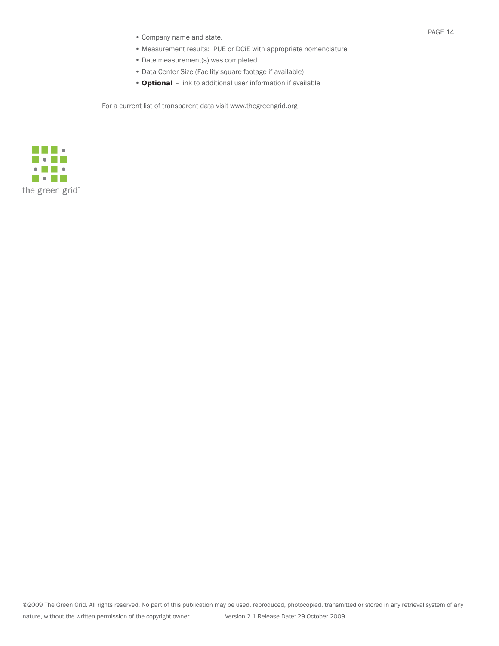- Company name and state.
- Measurement results: PUE or DCiE with appropriate nomenclature
- Date measurement(s) was completed
- Data Center Size (Facility square footage if available)
- **Optional**  link to additional user information if available

For a current list of transparent data visit www.thegreengrid.org